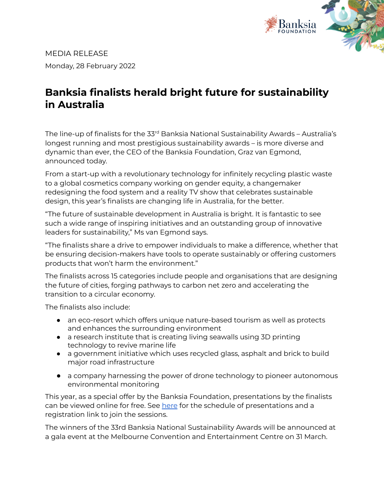

MEDIA RELEASE Monday, 28 February 2022

## **Banksia finalists herald bright future for sustainability in Australia**

The line-up of finalists for the 33<sup>rd</sup> Banksia National Sustainability Awards – Australia's longest running and most prestigious sustainability awards – is more diverse and dynamic than ever, the CEO of the Banksia Foundation, Graz van Egmond, announced today.

From a start-up with a revolutionary technology for infinitely recycling plastic waste to a global cosmetics company working on gender equity, a changemaker redesigning the food system and a reality TV show that celebrates sustainable design, this year's finalists are changing life in Australia, for the better.

"The future of sustainable development in Australia is bright. It is fantastic to see such a wide range of inspiring initiatives and an outstanding group of innovative leaders for sustainability," Ms van Egmond says.

"The finalists share a drive to empower individuals to make a difference, whether that be ensuring decision-makers have tools to operate sustainably or offering customers products that won't harm the environment."

The finalists across 15 categories include people and organisations that are designing the future of cities, forging pathways to carbon net zero and accelerating the transition to a circular economy.

The finalists also include:

- an eco-resort which offers unique nature-based tourism as well as protects and enhances the surrounding environment
- a research institute that is creating living seawalls using 3D printing technology to revive marine life
- a government initiative which uses recycled glass, asphalt and brick to build major road infrastructure
- a company harnessing the power of drone technology to pioneer autonomous environmental monitoring

This year, as a special offer by the Banksia Foundation, presentations by the finalists can be viewed online for free. See [here](https://banksia.eventbrite.com.au) for the schedule of presentations and a registration link to join the sessions.

The winners of the 33rd Banksia National Sustainability Awards will be announced at a gala event at the Melbourne Convention and Entertainment Centre on 31 March.